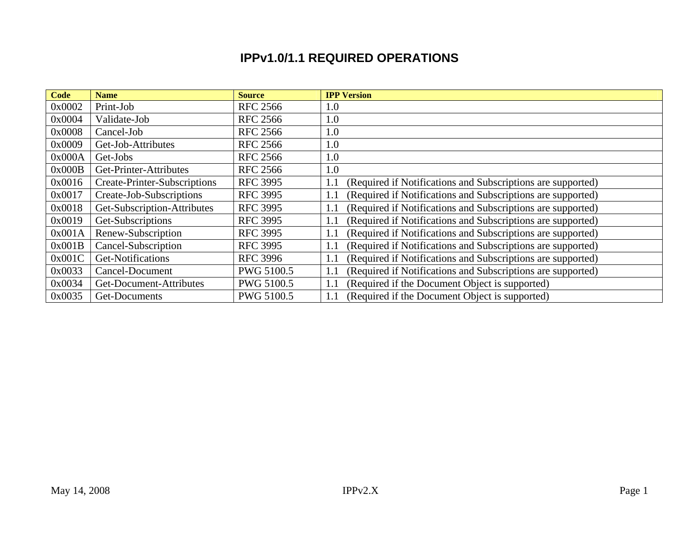## **IPPv1.0/1.1 REQUIRED OPERATIONS**

| <b>Code</b> | <b>Name</b>                         | <b>Source</b>     | <b>IPP Version</b>                                                 |
|-------------|-------------------------------------|-------------------|--------------------------------------------------------------------|
| 0x0002      | Print-Job                           | <b>RFC 2566</b>   | 1.0                                                                |
| 0x0004      | Validate-Job                        | <b>RFC 2566</b>   | 1.0                                                                |
| 0x0008      | Cancel-Job                          | <b>RFC 2566</b>   | 1.0                                                                |
| 0x0009      | Get-Job-Attributes                  | <b>RFC 2566</b>   | 1.0                                                                |
| 0x000A      | Get-Jobs                            | <b>RFC 2566</b>   | 1.0                                                                |
| 0x000B      | Get-Printer-Attributes              | <b>RFC 2566</b>   | 1.0                                                                |
| 0x0016      | <b>Create-Printer-Subscriptions</b> | <b>RFC 3995</b>   | (Required if Notifications and Subscriptions are supported)<br>1.1 |
| 0x0017      | Create-Job-Subscriptions            | <b>RFC 3995</b>   | (Required if Notifications and Subscriptions are supported)<br>1.1 |
| 0x0018      | Get-Subscription-Attributes         | <b>RFC 3995</b>   | (Required if Notifications and Subscriptions are supported)<br>1.1 |
| 0x0019      | Get-Subscriptions                   | <b>RFC 3995</b>   | (Required if Notifications and Subscriptions are supported)<br>1.1 |
| 0x001A      | Renew-Subscription                  | <b>RFC 3995</b>   | (Required if Notifications and Subscriptions are supported)<br>1.1 |
| 0x001B      | Cancel-Subscription                 | <b>RFC 3995</b>   | (Required if Notifications and Subscriptions are supported)<br>1.1 |
| 0x001C      | Get-Notifications                   | <b>RFC 3996</b>   | (Required if Notifications and Subscriptions are supported)<br>1.1 |
| 0x0033      | Cancel-Document                     | <b>PWG 5100.5</b> | (Required if Notifications and Subscriptions are supported)<br>1.1 |
| 0x0034      | Get-Document-Attributes             | PWG 5100.5        | (Required if the Document Object is supported)<br>1.1              |
| 0x0035      | Get-Documents                       | <b>PWG 5100.5</b> | (Required if the Document Object is supported)<br>1.1              |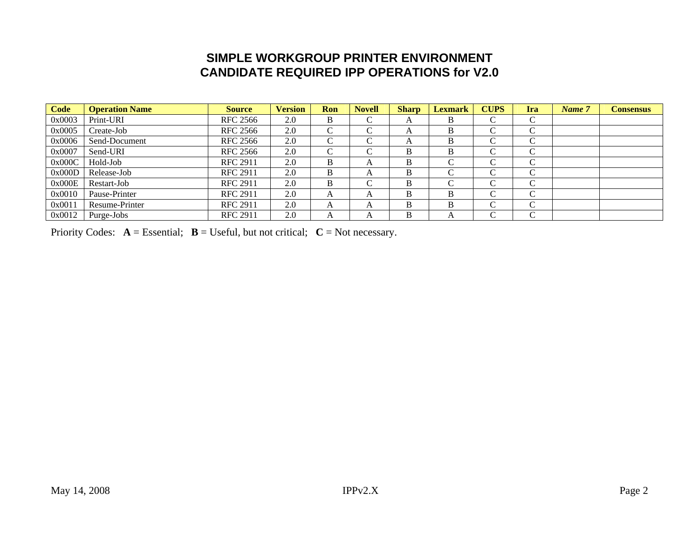## **SIMPLE WORKGROUP PRINTER ENVIRONMENT CANDIDATE REQUIRED IPP OPERATIONS for V2.0**

| <b>Code</b> | <b>Operation Name</b> | <b>Source</b>   | <b>Version</b> | Ron           | <b>Novell</b> | <b>Sharp</b> | <b>Lexmark</b> | <b>CUPS</b>        | Ira              | Name 7 | <b>Consensus</b> |
|-------------|-----------------------|-----------------|----------------|---------------|---------------|--------------|----------------|--------------------|------------------|--------|------------------|
| 0x0003      | Print-URI             | <b>RFC 2566</b> | 2.0            | B             | $\sim$        | A            | B              | $\sqrt{ }$<br>◡    | $\sim$<br>◡      |        |                  |
| 0x0005      | Create-Job            | <b>RFC 2566</b> | 2.0            | $\mathcal{C}$ | $\sqrt{ }$    | А            | B              | $\sqrt{ }$<br>◡    | $\sqrt{ }$<br>◡  |        |                  |
| 0x0006      | Send-Document         | <b>RFC 2566</b> | 2.0            | $\mathcal{C}$ | $\sim$        | А            | B              | $\sqrt{ }$<br>◡    | $\sim$<br>◡      |        |                  |
| 0x0007      | Send-URI              | <b>RFC 2566</b> | 2.0            | $\mathcal{C}$ | $\sqrt{ }$    | B            | В              | $\sqrt{ }$<br>◡    | $\sqrt{ }$<br>◡  |        |                  |
| 0x000C      | Hold-Job              | <b>RFC 2911</b> | 2.0            | B             | A             | B            | ⌒              | $\sqrt{ }$<br>◡    | $\sqrt{ }$<br>◡  |        |                  |
| 0x000D      | Release-Job           | <b>RFC 2911</b> | 2.0            | B             | A             | В            | ⌒              | $\curvearrowright$ | $\sqrt{ }$<br>J. |        |                  |
| 0x000E      | Restart-Job           | <b>RFC 2911</b> | 2.0            | B             | $\sim$        | B            | ⌒              | $\sqrt{ }$<br>◡    | ⌒                |        |                  |
| 0x0010      | Pause-Printer         | <b>RFC 2911</b> | 2.0            | A             | A             | B            | B              | $\sqrt{ }$         | $\sim$           |        |                  |
| 0x0011      | Resume-Printer        | <b>RFC 2911</b> | 2.0            | A             | A             | B            | B              | $\sqrt{ }$<br>◡    | $\sqrt{ }$<br>◡  |        |                  |
| 0x0012      | Purge-Jobs            | <b>RFC 2911</b> | 2.0            | A             | A             | В            | A              | $\sqrt{ }$         | ⌒                |        |                  |

Priority Codes:  $A = E$ ssential;  $B = U$ seful, but not critical;  $C = Not$  necessary.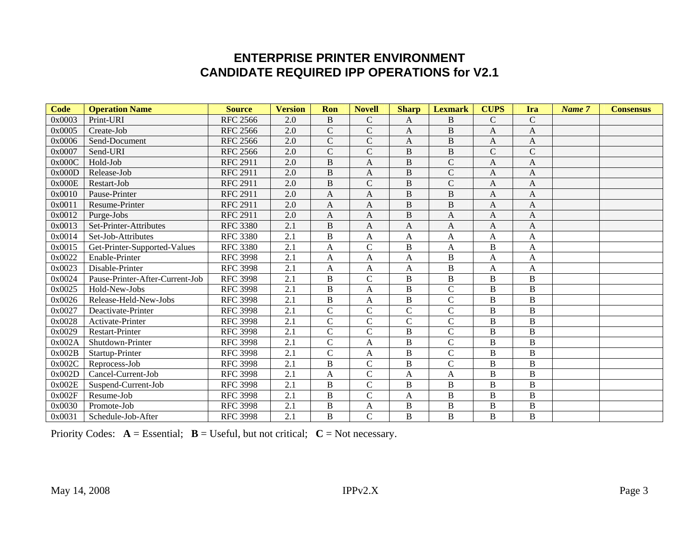## **ENTERPRISE PRINTER ENVIRONMENT CANDIDATE REQUIRED IPP OPERATIONS for V2.1**

| Code   | <b>Operation Name</b>           | <b>Source</b>   | <b>Version</b>   | Ron            | <b>Novell</b>      | <b>Sharp</b>   | <b>Lexmark</b>     | <b>CUPS</b>    | Ira            | Name 7 | <b>Consensus</b> |
|--------|---------------------------------|-----------------|------------------|----------------|--------------------|----------------|--------------------|----------------|----------------|--------|------------------|
| 0x0003 | Print-URI                       | <b>RFC 2566</b> | 2.0              | $\, {\bf B}$   | $\mathcal{C}$      | A              | B                  | $\mathsf{C}$   | $\mathcal{C}$  |        |                  |
| 0x0005 | Create-Job                      | <b>RFC 2566</b> | 2.0              | $\mathbf C$    | $\mathcal{C}$      | A              | $\, {\bf B}$       | A              | A              |        |                  |
| 0x0006 | Send-Document                   | <b>RFC 2566</b> | 2.0              | $\overline{C}$ | $\overline{C}$     | A              | $\, {\bf B}$       | A              | A              |        |                  |
| 0x0007 | Send-URI                        | <b>RFC 2566</b> | 2.0              | $\mathbf C$    | $\mathbf C$        | $\, {\bf B}$   | $\, {\bf B}$       | $\mathsf{C}$   | $\overline{C}$ |        |                  |
| 0x000C | Hold-Job                        | <b>RFC 2911</b> | 2.0              | $\, {\bf B}$   | A                  | $\, {\bf B}$   | $\overline{C}$     | A              | A              |        |                  |
| 0x000D | Release-Job                     | <b>RFC 2911</b> | 2.0              | $\overline{B}$ | A                  | $\, {\bf B}$   | $\mathbf C$        | A              | A              |        |                  |
| 0x000E | Restart-Job                     | <b>RFC 2911</b> | 2.0              | $\overline{B}$ | $\overline{C}$     | B              | $\overline{\rm C}$ | A              | A              |        |                  |
| 0x0010 | Pause-Printer                   | <b>RFC 2911</b> | 2.0              | A              | A                  | B              | $\, {\bf B}$       | A              | A              |        |                  |
| 0x0011 | Resume-Printer                  | <b>RFC 2911</b> | 2.0              | $\mathbf{A}$   | $\overline{A}$     | B              | $\overline{B}$     | A              | A              |        |                  |
| 0x0012 | Purge-Jobs                      | <b>RFC 2911</b> | 2.0              | A              | A                  | $\, {\bf B}$   | A                  | A              | A              |        |                  |
| 0x0013 | Set-Printer-Attributes          | <b>RFC 3380</b> | $\overline{2.1}$ | $\overline{B}$ | $\overline{A}$     | $\mathbf{A}$   | $\overline{A}$     | A              | A              |        |                  |
| 0x0014 | Set-Job-Attributes              | <b>RFC 3380</b> | 2.1              | $\mathbf B$    | A                  | A              | A                  | A              | A              |        |                  |
| 0x0015 | Get-Printer-Supported-Values    | <b>RFC 3380</b> | $\overline{2.1}$ | $\overline{A}$ | $\overline{C}$     | $\bf{B}$       | $\mathbf{A}$       | $\bf{B}$       | A              |        |                  |
| 0x0022 | Enable-Printer                  | <b>RFC 3998</b> | 2.1              | A              | A                  | A              | $\, {\bf B}$       | A              | A              |        |                  |
| 0x0023 | Disable-Printer                 | <b>RFC 3998</b> | 2.1              | $\overline{A}$ | A                  | A              | $\, {\bf B}$       | A              | A              |        |                  |
| 0x0024 | Pause-Printer-After-Current-Job | <b>RFC 3998</b> | $\overline{2.1}$ | $\, {\bf B}$   | $\overline{\rm c}$ | $\bf{B}$       | $\bf{B}$           | $\overline{B}$ | $\bf{B}$       |        |                  |
| 0x0025 | Hold-New-Jobs                   | <b>RFC 3998</b> | $\overline{2.1}$ | $\overline{B}$ | $\overline{A}$     | $\, {\bf B}$   | $\overline{C}$     | $\overline{B}$ | $\overline{B}$ |        |                  |
| 0x0026 | Release-Held-New-Jobs           | <b>RFC 3998</b> | 2.1              | $\, {\bf B}$   | A                  | $\, {\bf B}$   | $\overline{C}$     | B              | B              |        |                  |
| 0x0027 | Deactivate-Printer              | <b>RFC 3998</b> | 2.1              | $\mathcal{C}$  | $\mathsf{C}$       | $\mathsf{C}$   | $\mathcal{C}$      | B              | B              |        |                  |
| 0x0028 | Activate-Printer                | <b>RFC 3998</b> | 2.1              | $\overline{C}$ | $\overline{C}$     | $\overline{C}$ | $\mathcal{C}$      | B              | B              |        |                  |
| 0x0029 | Restart-Printer                 | <b>RFC 3998</b> | 2.1              | $\mathcal{C}$  | $\mathcal{C}$      | $\, {\bf B}$   | $\mathcal{C}$      | B              | B              |        |                  |
| 0x002A | Shutdown-Printer                | <b>RFC 3998</b> | 2.1              | $\mathsf{C}$   | A                  | $\, {\bf B}$   | $\overline{C}$     | B              | $\, {\bf B}$   |        |                  |
| 0x002B | Startup-Printer                 | <b>RFC 3998</b> | 2.1              | $\mathsf{C}$   | A                  | $\, {\bf B}$   | $\overline{C}$     | B              | B              |        |                  |
| 0x002C | Reprocess-Job                   | <b>RFC 3998</b> | 2.1              | $\, {\bf B}$   | $\mathcal{C}$      | $\, {\bf B}$   | $\overline{C}$     | $\bf{B}$       | B              |        |                  |
| 0x002D | Cancel-Current-Job              | <b>RFC 3998</b> | 2.1              | A              | $\overline{C}$     | A              | A                  | B              | B              |        |                  |
| 0x002E | Suspend-Current-Job             | <b>RFC 3998</b> | 2.1              | $\, {\bf B}$   | $\overline{\rm C}$ | $\, {\bf B}$   | $\, {\bf B}$       | B              | B              |        |                  |
| 0x002F | Resume-Job                      | <b>RFC 3998</b> | 2.1              | $\, {\bf B}$   | $\mathcal{C}$      | A              | $\, {\bf B}$       | B              | B              |        |                  |
| 0x0030 | Promote-Job                     | <b>RFC 3998</b> | 2.1              | $\mathbf B$    | $\overline{A}$     | $\, {\bf B}$   | $\mathbf B$        | B              | B              |        |                  |
| 0x0031 | Schedule-Job-After              | <b>RFC 3998</b> | 2.1              | $\, {\bf B}$   | $\overline{C}$     | B              | $\bf{B}$           | B              | B              |        |                  |

Priority Codes:  $A = E$ ssential;  $B = U$ seful, but not critical;  $C = Not$  necessary.